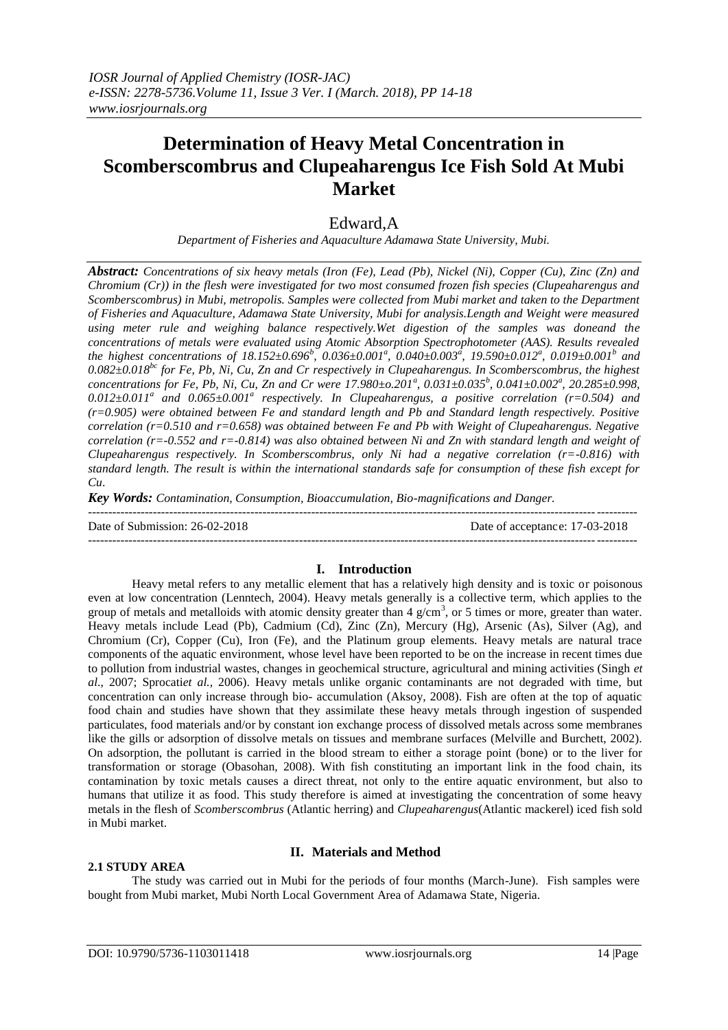# **Determination of Heavy Metal Concentration in Scomberscombrus and Clupeaharengus Ice Fish Sold At Mubi Market**

## Edward,A

*Department of Fisheries and Aquaculture Adamawa State University, Mubi.*

*Abstract: Concentrations of six heavy metals (Iron (Fe), Lead (Pb), Nickel (Ni), Copper (Cu), Zinc (Zn) and Chromium (Cr)) in the flesh were investigated for two most consumed frozen fish species (Clupeaharengus and Scomberscombrus) in Mubi, metropolis. Samples were collected from Mubi market and taken to the Department of Fisheries and Aquaculture, Adamawa State University, Mubi for analysis.Length and Weight were measured using meter rule and weighing balance respectively.Wet digestion of the samples was doneand the concentrations of metals were evaluated using Atomic Absorption Spectrophotometer (AAS). Results revealed the highest concentrations of 18.152±0.696<sup>b</sup> , 0.036±0.001<sup>a</sup> , 0.040±0.003<sup>a</sup> , 19.590±0.012<sup>a</sup> , 0.019±0.001<sup>b</sup> and 0.082±0.018bc for Fe, Pb, Ni, Cu, Zn and Cr respectively in Clupeaharengus. In Scomberscombrus, the highest concentrations for Fe, Pb, Ni, Cu, Zn and Cr were 17.980±o.201<sup>a</sup> , 0.031±0.035<sup>b</sup> , 0.041±0.002<sup>a</sup> , 20.285±0.998,*  0.012±0.011<sup>*a*</sup> and 0.065±0.001<sup>*a*</sup> respectively. In Clupeaharengus, a positive correlation (r=0.504) and *(r=0.905) were obtained between Fe and standard length and Pb and Standard length respectively. Positive correlation (r=0.510 and r=0.658) was obtained between Fe and Pb with Weight of Clupeaharengus. Negative correlation (r=-0.552 and r=-0.814) was also obtained between Ni and Zn with standard length and weight of Clupeaharengus respectively. In Scomberscombrus, only Ni had a negative correlation (r=-0.816) with standard length. The result is within the international standards safe for consumption of these fish except for Cu*.

*Key Words: Contamination, Consumption, Bioaccumulation, Bio-magnifications and Danger.*

--------------------------------------------------------------------------------------------------------------------------------------- Date of Submission: 26-02-2018 Date of acceptance: 17-03-2018

---------------------------------------------------------------------------------------------------------------------------------------

#### **I. Introduction**

Heavy metal refers to any metallic element that has a relatively high density and is toxic or poisonous even at low concentration (Lenntech, 2004). Heavy metals generally is a collective term, which applies to the group of metals and metalloids with atomic density greater than 4  $g/cm<sup>3</sup>$ , or 5 times or more, greater than water. Heavy metals include Lead (Pb), Cadmium (Cd), Zinc (Zn), Mercury (Hg), Arsenic (As), Silver (Ag), and Chromium (Cr), Copper (Cu), Iron (Fe), and the Platinum group elements. Heavy metals are natural trace components of the aquatic environment, whose level have been reported to be on the increase in recent times due to pollution from industrial wastes, changes in geochemical structure, agricultural and mining activities (Singh *et al*., 2007; Sprocati*et al.,* 2006). Heavy metals unlike organic contaminants are not degraded with time, but concentration can only increase through bio- accumulation (Aksoy, 2008). Fish are often at the top of aquatic food chain and studies have shown that they assimilate these heavy metals through ingestion of suspended particulates, food materials and/or by constant ion exchange process of dissolved metals across some membranes like the gills or adsorption of dissolve metals on tissues and membrane surfaces (Melville and Burchett, 2002). On adsorption, the pollutant is carried in the blood stream to either a storage point (bone) or to the liver for transformation or storage (Obasohan, 2008). With fish constituting an important link in the food chain, its contamination by toxic metals causes a direct threat, not only to the entire aquatic environment, but also to humans that utilize it as food. This study therefore is aimed at investigating the concentration of some heavy metals in the flesh of *Scomberscombrus* (Atlantic herring) and *Clupeaharengus*(Atlantic mackerel) iced fish sold in Mubi market.

#### **2.1 STUDY AREA**

## **II. Materials and Method**

The study was carried out in Mubi for the periods of four months (March-June). Fish samples were bought from Mubi market, Mubi North Local Government Area of Adamawa State, Nigeria.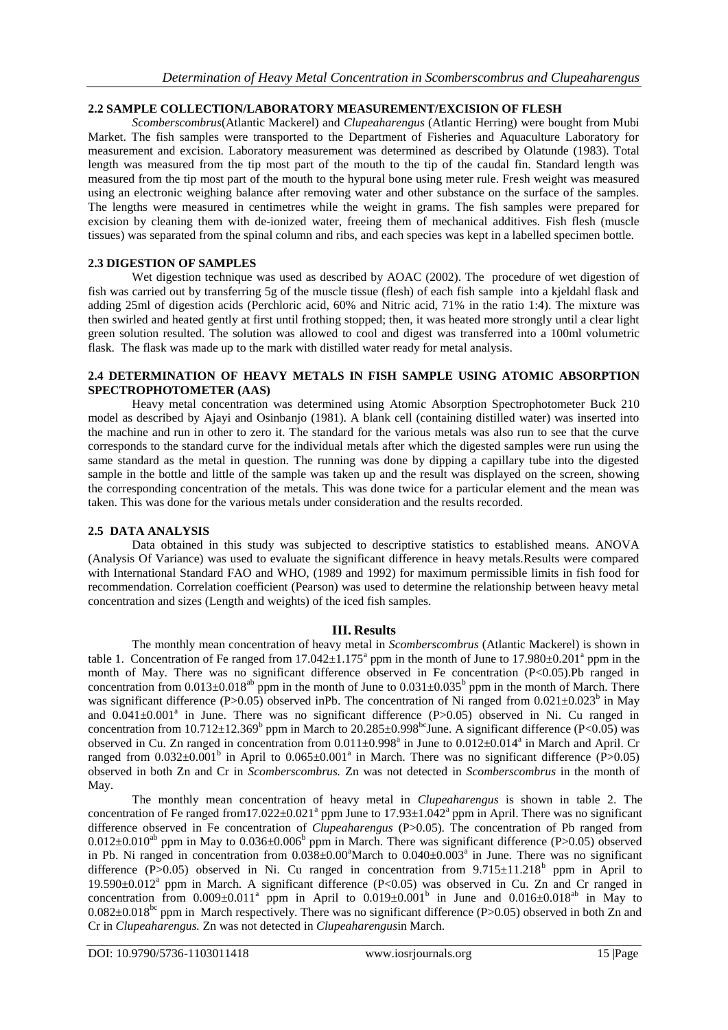#### **2.2 SAMPLE COLLECTION/LABORATORY MEASUREMENT/EXCISION OF FLESH**

*Scomberscombrus*(Atlantic Mackerel) and *Clupeaharengus* (Atlantic Herring) were bought from Mubi Market. The fish samples were transported to the Department of Fisheries and Aquaculture Laboratory for measurement and excision. Laboratory measurement was determined as described by Olatunde (1983). Total length was measured from the tip most part of the mouth to the tip of the caudal fin. Standard length was measured from the tip most part of the mouth to the hypural bone using meter rule. Fresh weight was measured using an electronic weighing balance after removing water and other substance on the surface of the samples. The lengths were measured in centimetres while the weight in grams. The fish samples were prepared for excision by cleaning them with de-ionized water, freeing them of mechanical additives. Fish flesh (muscle tissues) was separated from the spinal column and ribs, and each species was kept in a labelled specimen bottle.

#### **2.3 DIGESTION OF SAMPLES**

Wet digestion technique was used as described by AOAC (2002). The procedure of wet digestion of fish was carried out by transferring 5g of the muscle tissue (flesh) of each fish sample into a kjeldahl flask and adding 25ml of digestion acids (Perchloric acid, 60% and Nitric acid, 71% in the ratio 1:4). The mixture was then swirled and heated gently at first until frothing stopped; then, it was heated more strongly until a clear light green solution resulted. The solution was allowed to cool and digest was transferred into a 100ml volumetric flask. The flask was made up to the mark with distilled water ready for metal analysis.

#### **2.4 DETERMINATION OF HEAVY METALS IN FISH SAMPLE USING ATOMIC ABSORPTION SPECTROPHOTOMETER (AAS)**

Heavy metal concentration was determined using Atomic Absorption Spectrophotometer Buck 210 model as described by Ajayi and Osinbanjo (1981). A blank cell (containing distilled water) was inserted into the machine and run in other to zero it. The standard for the various metals was also run to see that the curve corresponds to the standard curve for the individual metals after which the digested samples were run using the same standard as the metal in question. The running was done by dipping a capillary tube into the digested sample in the bottle and little of the sample was taken up and the result was displayed on the screen, showing the corresponding concentration of the metals. This was done twice for a particular element and the mean was taken. This was done for the various metals under consideration and the results recorded.

#### **2.5 DATA ANALYSIS**

Data obtained in this study was subjected to descriptive statistics to established means. ANOVA (Analysis Of Variance) was used to evaluate the significant difference in heavy metals.Results were compared with International Standard FAO and WHO, (1989 and 1992) for maximum permissible limits in fish food for recommendation. Correlation coefficient (Pearson) was used to determine the relationship between heavy metal concentration and sizes (Length and weights) of the iced fish samples.

#### **III. Results**

The monthly mean concentration of heavy metal in *Scomberscombrus* (Atlantic Mackerel) is shown in table 1. Concentration of Fe ranged from  $17.042 \pm 1.175^{\circ}$  ppm in the month of June to  $17.980 \pm 0.201^{\circ}$  ppm in the month of May. There was no significant difference observed in Fe concentration (P<0.05).Pb ranged in concentration from  $0.013 \pm 0.018^{ab}$  ppm in the month of June to  $0.031 \pm 0.035^b$  ppm in the month of March. There was significant difference (P>0.05) observed inPb. The concentration of Ni ranged from  $0.021 \pm 0.023^b$  in May and 0.041±0.001<sup>ª</sup> in June. There was no significant difference (P>0.05) observed in Ni. Cu ranged in concentration from  $10.712 \pm 12.369^b$  ppm in March to  $20.285 \pm 0.998^{bc}$ June. A significant difference (P<0.05) was observed in Cu. Zn ranged in concentration from  $0.011 \pm 0.998^a$  in June to  $0.012 \pm 0.014^a$  in March and April. Cr ranged from  $0.032 \pm 0.001^b$  in April to  $0.065 \pm 0.001^a$  in March. There was no significant difference (P>0.05) observed in both Zn and Cr in *Scomberscombrus.* Zn was not detected in *Scomberscombrus* in the month of May.

The monthly mean concentration of heavy metal in *Clupeaharengus* is shown in table 2. The concentration of Fe ranged from 17.022 $\pm$ 0.021<sup>ª</sup> ppm June to 17.93 $\pm$ 1.042<sup>ª</sup> ppm in April. There was no significant difference observed in Fe concentration of *Clupeaharengus* (P>0.05). The concentration of Pb ranged from  $0.012\pm0.010^{ab}$  ppm in May to  $0.036\pm0.006^b$  ppm in March. There was significant difference (P>0.05) observed in Pb. Ni ranged in concentration from  $0.038 \pm 0.00$ <sup>a</sup>March to  $0.040 \pm 0.003$ <sup>a</sup> in June. There was no significant difference (P>0.05) observed in Ni. Cu ranged in concentration from  $9.715 \pm 11.218^b$  ppm in April to 19.590±0.012<sup>a</sup> ppm in March. A significant difference (P<0.05) was observed in Cu. Zn and Cr ranged in concentration from  $0.009 \pm 0.011^a$  ppm in April to  $0.019 \pm 0.001^b$  in June and  $0.016 \pm 0.018^{ab}$  in May to  $0.082\pm0.018^{bc}$  ppm in March respectively. There was no significant difference (P>0.05) observed in both Zn and Cr in *Clupeaharengus.* Zn was not detected in *Clupeaharengus*in March.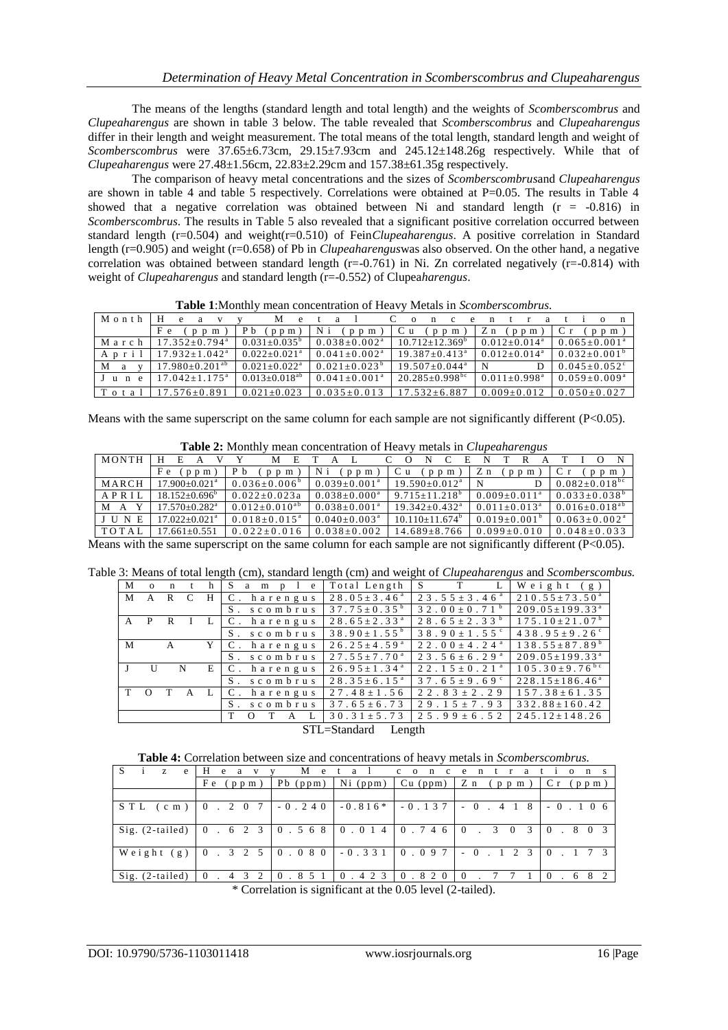The means of the lengths (standard length and total length) and the weights of *Scomberscombrus* and *Clupeaharengus* are shown in table 3 below. The table revealed that *Scomberscombrus* and *Clupeaharengus* differ in their length and weight measurement. The total means of the total length, standard length and weight of *Scomberscombrus* were 37.65±6.73cm, 29.15±7.93cm and 245.12±148.26g respectively. While that of *Clupeaharengus* were 27.48±1.56cm, 22.83±2.29cm and 157.38±61.35g respectively.

The comparison of heavy metal concentrations and the sizes of *Scomberscombrus*and *Clupeaharengus* are shown in table 4 and table 5 respectively. Correlations were obtained at P=0.05. The results in Table 4 showed that a negative correlation was obtained between Ni and standard length  $(r = -0.816)$  in *Scomberscombrus*. The results in Table 5 also revealed that a significant positive correlation occurred between standard length (r=0.504) and weight(r=0.510) of Fein*Clupeaharengus*. A positive correlation in Standard length (r=0.905) and weight (r=0.658) of Pb in *Clupeaharengus*was also observed. On the other hand, a negative correlation was obtained between standard length ( $r=-0.761$ ) in Ni. Zn correlated negatively ( $r=-0.814$ ) with weight of *Clupeaharengus* and standard length (r=-0.552) of Clupea*harengus*.

| Month | H<br>e.                       | M                       | $\mathbf{a}$        | e –<br>n<br><sub>c</sub><br>$\Omega$ | $\mathbf{n}$                 | $a +$<br>$\mathbf n$<br>$\Omega$ |
|-------|-------------------------------|-------------------------|---------------------|--------------------------------------|------------------------------|----------------------------------|
|       | Fe<br>$p$ $p$ $m$             | $P b$ (ppm)             | Ni (ppm)            | C u<br>(p p m)                       | Z n<br>(p p m)               | $\mathsf{IC}$ r<br>$p$ $p$ $m$ ) |
| March | $17.352+0.794^a$              | $0.031 + 0.035^{\circ}$ | $0.038 + 0.002^a$   | $10.712 + 12.369^b$                  | $0.012+0.014^a$              | $0.065+0.001^a$                  |
| April | $17.932 + 1.042^a$            | $0.022+0.021^a$         | $0.041 + 0.002^a$   | $19.387 + 0.413^a$                   | $0.012+0.014^a$              | $0.032 + 0.001^{b}$              |
| M a   | $17.980 \pm 0.201^{ab}$       | $0.021 + 0.022^a$       | $0.021 + 0.023^{b}$ | $19.507+0.044^a$                     | N                            | $0.045+0.052^{\circ}$            |
| June  | $17.042 \pm 1.175^{\text{a}}$ | $0.013+0.018^{ab}$      | $0.041 + 0.001^a$   | $20.285 \pm 0.998$ <sup>bc</sup>     | $0.011 + 0.998$ <sup>a</sup> | $0.059 \pm 0.009^{\text{a}}$     |
|       |                               |                         |                     |                                      |                              |                                  |

**Table 1**:Monthly mean concentration of Heavy Metals in *Scomberscombrus.*

Means with the same superscript on the same column for each sample are not significantly different (P<0.05).

| Table 2: Monthly mean concentration of Heavy metals in Clupeaharengus |  |
|-----------------------------------------------------------------------|--|
|                                                                       |  |

 $17.576 \pm 0.891$   $0.021 \pm 0.023$   $0.035 \pm 0.013$   $17.532 \pm 6.887$  0.009  $\pm 0.012$  0.050  $\pm 0.027$ 

| $\cdots$<br>modello in <i>crupcurion</i> crig <i>us</i> |                               |                                                                                                                        |                     |                      |                 |                         |  |  |  |
|---------------------------------------------------------|-------------------------------|------------------------------------------------------------------------------------------------------------------------|---------------------|----------------------|-----------------|-------------------------|--|--|--|
| <b>MONTH</b>                                            | н<br>E                        | M<br>E                                                                                                                 |                     | E                    |                 |                         |  |  |  |
|                                                         | Fe<br>$p$ $p$ $m$             | P b<br>$p$ m<br>D.                                                                                                     | $p$ $p$ $m$         | C u<br>$p$ $p$ $m$   | Z n<br>p p m    | $p$ m                   |  |  |  |
| MARCH                                                   | $17.900 + 0.021$ <sup>a</sup> | $0.036 \pm 0.006^{\circ}$                                                                                              | $0.039+0.001^a$     | $19.590 + 0.012^a$   | N               | $0.082 \pm 0.018^{bc}$  |  |  |  |
| APRIL                                                   | $18.152 + 0.696^{\circ}$      | $0.022+0.023a$                                                                                                         | $0.038 + 0.000^a$   | $9.715 \pm 11.218^b$ | $0.009+0.011^a$ | $0.033+0.038^{b}$       |  |  |  |
| M A                                                     | $17.570 + 0.282$ <sup>a</sup> | $0.012+0.010^{ab}$                                                                                                     | $0.038 \pm 0.001^a$ | $19.342 + 0.432^a$   | $0.011+0.013^a$ | $0.016 \pm 0.018^{a b}$ |  |  |  |
| JUNE                                                    | $17.022 + 0.021$ <sup>a</sup> | $0.018 + 0.015^a$                                                                                                      | $0.040+0.003^a$     | $10.110+11.674^b$    | $0.019+0.001$   | $0.063+0.002a$          |  |  |  |
| TOTAI                                                   | $17.661 + 0.551$              | $0.022 \pm 0.016$                                                                                                      | $0.038 + 0.002$     | $14.689 \pm 8.766$   | $0.099 + 0.010$ | $0.048 + 0.033$         |  |  |  |
|                                                         |                               | Leong with the came averagement on the came column for each complete not significantly different $(D, \Omega, \Omega)$ |                     |                      |                 |                         |  |  |  |

Means with the same superscript on the same column for each sample are not significantly different (P<0.05).

| Table 3: Means of total length (cm), standard length (cm) and weight of <i>Clupeaharengus</i> and <i>Scomberscombus</i> . |  |  |  |  |  |
|---------------------------------------------------------------------------------------------------------------------------|--|--|--|--|--|
|---------------------------------------------------------------------------------------------------------------------------|--|--|--|--|--|

| M     | $\Omega$ | $\mathbf{n}$ |              | h            | a m<br>S<br>$p \quad 1 \quad e$ | Total Length                  | S T                                | Weight (g)                       |
|-------|----------|--------------|--------------|--------------|---------------------------------|-------------------------------|------------------------------------|----------------------------------|
| M A R |          |              |              | H            | C. harengus                     | $28.05 \pm 3.46^{\text{a}}$   | $23.55 \pm 3.46^{\circ}$           | $210.55 \pm 73.50^{\text{a}}$    |
|       |          |              |              |              | S. scombrus                     | $37.75 \pm 0.35^{\circ}$      | 3 2 . 0 0 $\pm$ 0 . 7 1 $^{\rm b}$ | $209.05 \pm 199.33^{\text{a}}$   |
|       | A P R I  |              |              | $\mathbf{L}$ | C. harengus                     | $28.65 \pm 2.33$ <sup>a</sup> | $28.65 \pm 2.33^{\mathrm{b}}$      | $175.10 \pm 21.07^{\mathrm{b}}$  |
|       |          |              |              |              | S. scombrus                     | 38.90 $\pm$ 1.55 <sup>b</sup> | 38.90 $\pm$ 1.55 $\degree$         | $438.95 \pm 9.26$                |
| M     |          | A            |              |              | Y C. harengus                   | $26.25 \pm 4.59$ <sup>a</sup> | $22.00 \pm 4.24$ <sup>a</sup>      | $138.55 \pm 87.89^{\mathrm{b}}$  |
|       |          |              |              |              | S. scombrus                     | $27.55 \pm 7.70$ <sup>a</sup> | $23.56 \pm 6.29$ <sup>a</sup>      | $209.05 \pm 199.33$ <sup>a</sup> |
|       | U        | N            |              |              | $E \mid C$ . harengus           | $26.95 \pm 1.34$ <sup>a</sup> | $22.15+0.21a$                      | $105.30 \pm 9.76$ <sup>bc</sup>  |
|       |          |              |              |              | S. scombrus                     | $28.35 \pm 6.15^{\text{a}}$   | $37.65 \pm 9.69$                   | $228.15 \pm 186.46^a$            |
| T O   |          | $\mathbf{T}$ | $\mathsf{A}$ |              | C. harengus                     | $27.48 \pm 1.56$              | $22.83 \pm 2.29$                   | $157.38 \pm 61.35$               |
|       |          |              |              |              | S. scombrus                     | $37.65 \pm 6.73$              | $29.15 \pm 7.93$                   | $332.88 \pm 160.42$              |
|       |          |              |              |              | T<br>$\Omega$<br>A              | $30.31 \pm 5.73$              | $25.99 \pm 6.52$                   | $245.12 \pm 148.26$              |

STL=Standard Length

**Table 4:** Correlation between size and concentrations of heavy metals in *Scomberscombrus.*

| -S<br>Z.<br>e     | e<br>a                                                                                                    | M          | etal co    | n          | ntr<br>c e                           | atio<br>$n \simeq$            |  |  |
|-------------------|-----------------------------------------------------------------------------------------------------------|------------|------------|------------|--------------------------------------|-------------------------------|--|--|
|                   | Fe<br>(p p m)                                                                                             | $Pb$ (ppm) | $Ni$ (ppm) | $Cu$ (ppm) | $Z$ n (ppm)                          | $C r$ (ppm)                   |  |  |
|                   |                                                                                                           |            |            |            |                                      |                               |  |  |
| $S T L$ (cm)      | $\begin{bmatrix} 0 & 2 & 0 & 7 \end{bmatrix}$                                                             |            |            |            | $-0.240$ $-0.816*$ $-0.137$ $-0.418$ | $-0.106$                      |  |  |
| $Sig. (2-tailed)$ |                                                                                                           |            |            |            |                                      | $3 \t0 \t3 \t0 \t. 8 \t0 \t3$ |  |  |
| Weight (g)        | $\begin{bmatrix} 0 & 3 & 2 & 5 \end{bmatrix}$ $\begin{bmatrix} 0 & 0 & 8 & 0 \end{bmatrix}$ - 0.331 0.097 |            |            |            | $-0$ $1$ 2 3 0 $1$ 7 3               |                               |  |  |
| Sig. (2-tailed)   | $0 \t3 \t3 \t2$                                                                                           | 0.851      | 0.423      | 0.820      | $\overline{0}$                       | 0.682                         |  |  |

\* Correlation is significant at the 0.05 level (2-tailed).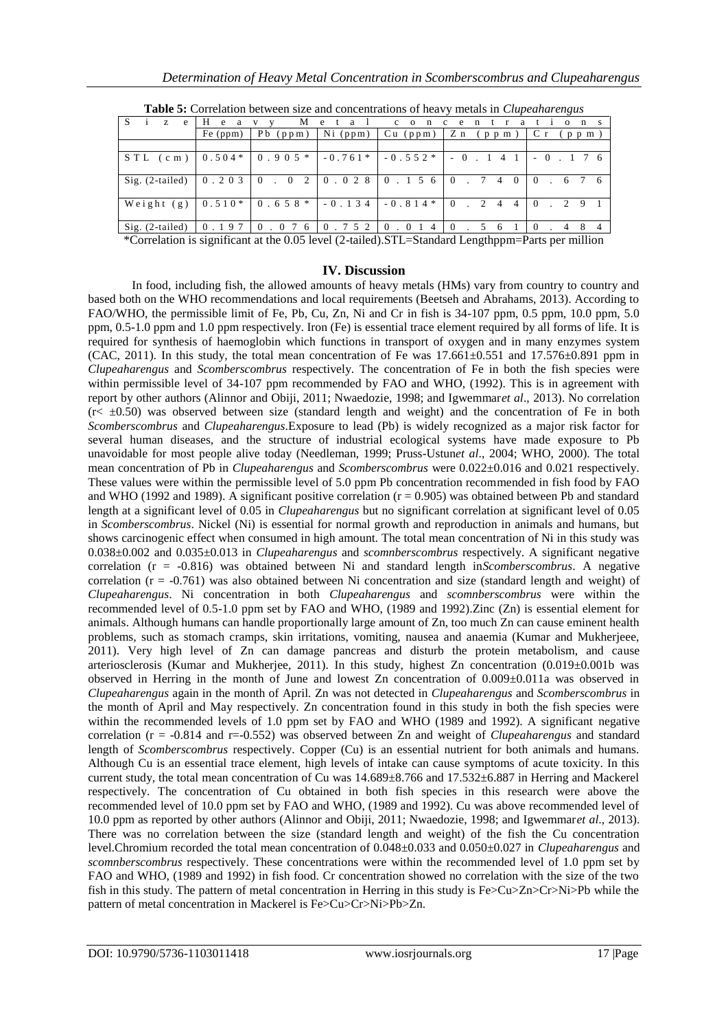| <b>Table 5:</b> Contention between size and concentrations of neavy metals in <i>Chiptunui engus</i>                                                  |          |                                                                                         |            |            |                                   |                                       |  |  |  |
|-------------------------------------------------------------------------------------------------------------------------------------------------------|----------|-----------------------------------------------------------------------------------------|------------|------------|-----------------------------------|---------------------------------------|--|--|--|
| Z.<br>e                                                                                                                                               | H<br>e   | М                                                                                       | e<br>a     | concent    | a                                 | $\Omega$                              |  |  |  |
|                                                                                                                                                       | Fe (ppm) | $Pb$ (ppm)                                                                              | $Ni$ (ppm) | $Cu$ (ppm) | Z n<br>(p p m)                    | (p p m)                               |  |  |  |
|                                                                                                                                                       |          |                                                                                         |            |            |                                   |                                       |  |  |  |
| $STL$ (cm)                                                                                                                                            | $0.504*$ | $0.905*$                                                                                |            |            |                                   | $-0.761*$ $-0.552*$ $-0.141$ $-0.176$ |  |  |  |
| $Sig. (2-tailed)$                                                                                                                                     | 0.203    | $\begin{bmatrix} 0 & 0 & 2 \end{bmatrix}$ $\begin{bmatrix} 0 & 0 & 2 & 8 \end{bmatrix}$ |            | 0.156      | $0$ $7$ $4$ $0$                   | 0.676                                 |  |  |  |
| Weight (g)                                                                                                                                            |          | $0.510*$ 0.658 *   -0.134   -0.814 *                                                    |            |            | 2 4<br>$\Omega$<br>$\overline{4}$ | $0 \t2 \t9 \t1$                       |  |  |  |
| $Sig. (2-tailed)$                                                                                                                                     | 0.197    | 0.076                                                                                   | 0.752      | 0.0<br>4   | 5 6<br>$\Omega$                   | . 4<br>$\theta$                       |  |  |  |
| $\psi \Omega = 1$ , $\psi = 1$ , $\psi = 1$ , $\Omega \psi = 1$ , $\Omega$ , $\Omega = 1$ , $\Omega = 1$ , $\Gamma = 1$ , $\Gamma = 1$ , $\Gamma = 1$ |          |                                                                                         |            |            |                                   |                                       |  |  |  |

**Table 5:** Correlation between size and concentrations of heavy metals in *Clupeaharengus*

\*Correlation is significant at the 0.05 level (2-tailed).STL=Standard Lengthppm=Parts per million

#### **IV. Discussion**

In food, including fish, the allowed amounts of heavy metals (HMs) vary from country to country and based both on the WHO recommendations and local requirements (Beetseh and Abrahams, 2013). According to FAO/WHO, the permissible limit of Fe, Pb, Cu, Zn, Ni and Cr in fish is 34-107 ppm, 0.5 ppm, 10.0 ppm, 5.0 ppm, 0.5-1.0 ppm and 1.0 ppm respectively. Iron (Fe) is essential trace element required by all forms of life. It is required for synthesis of haemoglobin which functions in transport of oxygen and in many enzymes system (CAC, 2011). In this study, the total mean concentration of Fe was  $17.661\pm0.551$  and  $17.576\pm0.891$  ppm in *Clupeaharengus* and *Scomberscombrus* respectively. The concentration of Fe in both the fish species were within permissible level of 34-107 ppm recommended by FAO and WHO, (1992). This is in agreement with report by other authors (Alinnor and Obiji, 2011; Nwaedozie, 1998; and Igwemmar*et al*., 2013). No correlation  $(r \leq \pm 0.50)$  was observed between size (standard length and weight) and the concentration of Fe in both *Scomberscombrus* and *Clupeaharengus*.Exposure to lead (Pb) is widely recognized as a major risk factor for several human diseases, and the structure of industrial ecological systems have made exposure to Pb unavoidable for most people alive today (Needleman, 1999; Pruss-Ustun*et al*., 2004; WHO, 2000). The total mean concentration of Pb in *Clupeaharengus* and *Scomberscombrus* were 0.022±0.016 and 0.021 respectively. These values were within the permissible level of 5.0 ppm Pb concentration recommended in fish food by FAO and WHO (1992 and 1989). A significant positive correlation ( $r = 0.905$ ) was obtained between Pb and standard length at a significant level of 0.05 in *Clupeaharengus* but no significant correlation at significant level of 0.05 in *Scomberscombrus*. Nickel (Ni) is essential for normal growth and reproduction in animals and humans, but shows carcinogenic effect when consumed in high amount. The total mean concentration of Ni in this study was 0.038±0.002 and 0.035±0.013 in *Clupeaharengus* and *scomnberscombrus* respectively. A significant negative correlation (r = -0.816) was obtained between Ni and standard length in*Scomberscombrus*. A negative correlation  $(r = -0.761)$  was also obtained between Ni concentration and size (standard length and weight) of *Clupeaharengus*. Ni concentration in both *Clupeaharengus* and *scomnberscombrus* were within the recommended level of 0.5-1.0 ppm set by FAO and WHO, (1989 and 1992).Zinc (Zn) is essential element for animals. Although humans can handle proportionally large amount of Zn, too much Zn can cause eminent health problems, such as stomach cramps, skin irritations, vomiting, nausea and anaemia (Kumar and Mukherjeee, 2011). Very high level of Zn can damage pancreas and disturb the protein metabolism, and cause arteriosclerosis (Kumar and Mukherjee, 2011). In this study, highest Zn concentration (0.019±0.001b was observed in Herring in the month of June and lowest Zn concentration of 0.009±0.011a was observed in *Clupeaharengus* again in the month of April. Zn was not detected in *Clupeaharengus* and *Scomberscombrus* in the month of April and May respectively. Zn concentration found in this study in both the fish species were within the recommended levels of 1.0 ppm set by FAO and WHO (1989 and 1992). A significant negative correlation (r = -0.814 and r=-0.552) was observed between Zn and weight of *Clupeaharengus* and standard length of *Scomberscombrus* respectively. Copper (Cu) is an essential nutrient for both animals and humans. Although Cu is an essential trace element, high levels of intake can cause symptoms of acute toxicity. In this current study, the total mean concentration of Cu was 14.689±8.766 and 17.532±6.887 in Herring and Mackerel respectively. The concentration of Cu obtained in both fish species in this research were above the recommended level of 10.0 ppm set by FAO and WHO, (1989 and 1992). Cu was above recommended level of 10.0 ppm as reported by other authors (Alinnor and Obiji, 2011; Nwaedozie, 1998; and Igwemmar*et al*., 2013). There was no correlation between the size (standard length and weight) of the fish the Cu concentration level.Chromium recorded the total mean concentration of 0.048±0.033 and 0.050±0.027 in *Clupeaharengus* and *scomnberscombrus* respectively. These concentrations were within the recommended level of 1.0 ppm set by FAO and WHO, (1989 and 1992) in fish food. Cr concentration showed no correlation with the size of the two fish in this study. The pattern of metal concentration in Herring in this study is Fe>Cu>Zn>Cr>Ni>Pb while the pattern of metal concentration in Mackerel is Fe>Cu>Cr>Ni>Pb>Zn.